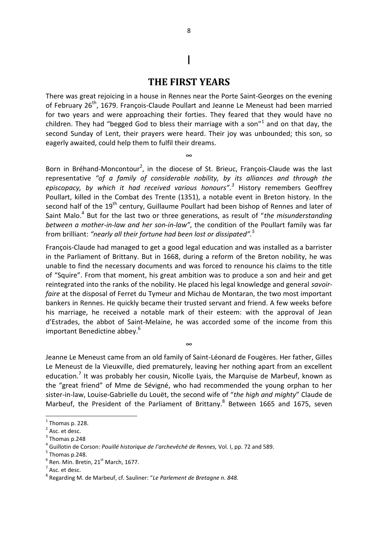## **THE FIRST YEARS**

I

There was great rejoicing in a house in Rennes near the Porte Saint-Georges on the evening of February 26<sup>th</sup>, 1679. François-Claude Poullart and Jeanne Le Meneust had been married for two years and were approaching their forties. They feared that they would have no children. They had "begged God to bless their marriage with a son" $1$  and on that day, the second Sunday of Lent, their prayers were heard. Their joy was unbounded; this son, so eagerly awaited, could help them to fulfil their dreams.

∞

Born in Bréhand-Moncontour<sup>2</sup>, in the diocese of St. Brieuc, François-Claude was the last representative *"of a family of considerable nobility, by its alliances and through the episcopacy, by which it had received various honours".<sup>3</sup>* History remembers Geoffrey Poullart, killed in the Combat des Trente (1351), a notable event in Breton history. In the second half of the 19<sup>th</sup> century, Guillaume Poullart had been bishop of Rennes and later of Saint Malo.<sup>4</sup> But for the last two or three generations, as result of "the misunderstanding *between a mother-in-law and her son-in-law"*, the condition of the Poullart family was far from brilliant: *"nearly all their fortune had been lost or dissipated".<sup>5</sup>* 

François-Claude had managed to get a good legal education and was installed as a barrister in the Parliament of Brittany. But in 1668, during a reform of the Breton nobility, he was unable to find the necessary documents and was forced to renounce his claims to the title of "Squire". From that moment, his great ambition was to produce a son and heir and get reintegrated into the ranks of the nobility. He placed his legal knowledge and general *savoirfaire* at the disposal of Ferret du Tymeur and Michau de Montaran, the two most important bankers in Rennes. He quickly became their trusted servant and friend. A few weeks before his marriage, he received a notable mark of their esteem: with the approval of Jean d'Estrades, the abbot of Saint-Melaine, he was accorded some of the income from this important Benedictine abbey.<sup>6</sup>

Jeanne Le Meneust came from an old family of Saint-Léonard de Fougères. Her father, Gilles Le Meneust de la Vieuxville, died prematurely, leaving her nothing apart from an excellent education.<sup>7</sup> It was probably her cousin, Nicolle Lyais, the Marquise de Marbeuf, known as the "great friend" of Mme de Sévigné, who had recommended the young orphan to her sister-in-law, Louise-Gabrielle du Louët, the second wife of "*the high and mighty*" Claude de Marbeuf, the President of the Parliament of Brittany.<sup>8</sup> Between 1665 and 1675, seven

∞

1

 $<sup>1</sup>$  Thomas p. 228.</sup>

 $2$  Asc. et desc.

 $3$  Thomas p.248

<sup>4</sup> Guillotin de Corson: *Pouillé historique de l'archevêché de Rennes,* Vol. I, pp. 72 and 589.

 $<sup>5</sup>$  Thomas p.248.</sup>

 $<sup>6</sup>$  Ren. Min. Bretin, 21<sup>st</sup> March, 1677.</sup>

 $<sup>7</sup>$  Asc. et desc.</sup>

<sup>8</sup> Regarding M. de Marbeuf, cf. Sauliner: "*Le Parlement de Bretagne n. 848.*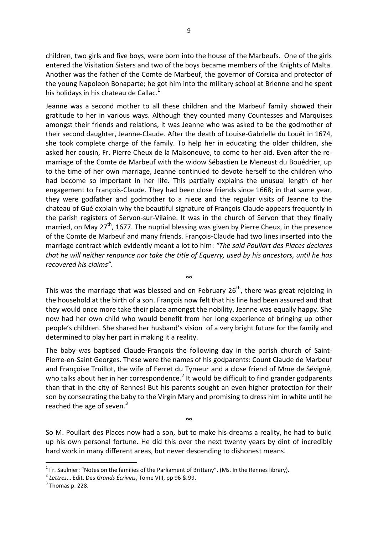children, two girls and five boys, were born into the house of the Marbeufs. One of the girls entered the Visitation Sisters and two of the boys became members of the Knights of Malta. Another was the father of the Comte de Marbeuf, the governor of Corsica and protector of the young Napoleon Bonaparte; he got him into the military school at Brienne and he spent his holidays in his chateau de Callac. $<sup>1</sup>$ </sup>

Jeanne was a second mother to all these children and the Marbeuf family showed their gratitude to her in various ways. Although they counted many Countesses and Marquises amongst their friends and relations, it was Jeanne who was asked to be the godmother of their second daughter, Jeanne-Claude. After the death of Louise-Gabrielle du Louët in 1674, she took complete charge of the family. To help her in educating the older children, she asked her cousin, Fr. Pierre Cheux de la Maisoneuve, to come to her aid. Even after the remarriage of the Comte de Marbeuf with the widow Sébastien Le Meneust du Bouédrier, up to the time of her own marriage, Jeanne continued to devote herself to the children who had become so important in her life. This partially explains the unusual length of her engagement to François-Claude. They had been close friends since 1668; in that same year, they were godfather and godmother to a niece and the regular visits of Jeanne to the chateau of Gué explain why the beautiful signature of François-Claude appears frequently in the parish registers of Servon-sur-Vilaine. It was in the church of Servon that they finally married, on May  $27<sup>th</sup>$ , 1677. The nuptial blessing was given by Pierre Cheux, in the presence of the Comte de Marbeuf and many friends. François-Claude had two lines inserted into the marriage contract which evidently meant a lot to him: *"The said Poullart des Places declares that he will neither renounce nor take the title of Equerry, used by his ancestors, until he has recovered his claims".* 

This was the marriage that was blessed and on February  $26<sup>th</sup>$ , there was great rejoicing in the household at the birth of a son. François now felt that his line had been assured and that they would once more take their place amongst the nobility. Jeanne was equally happy. She now had her own child who would benefit from her long experience of bringing up other people's children. She shared her husband's vision of a very bright future for the family and determined to play her part in making it a reality.

∞

The baby was baptised Claude-François the following day in the parish church of Saint-Pierre-en-Saint Georges. These were the names of his godparents: Count Claude de Marbeuf and Françoise Truillot, the wife of Ferret du Tymeur and a close friend of Mme de Sévigné, who talks about her in her correspondence.<sup>2</sup> It would be difficult to find grander godparents than that in the city of Rennes! But his parents sought an even higher protection for their son by consecrating the baby to the Virgin Mary and promising to dress him in white until he reached the age of seven. $3$ 

So M. Poullart des Places now had a son, but to make his dreams a reality, he had to build up his own personal fortune. He did this over the next twenty years by dint of incredibly hard work in many different areas, but never descending to dishonest means.

∞

**.** 

<sup>&</sup>lt;sup>1</sup> Fr. Saulnier: "Notes on the families of the Parliament of Brittany". (Ms. In the Rennes library).

<sup>2</sup> *Lettres*… Edit. Des *Grands Écrivins*, Tome VIII, pp 96 & 99.

 $3$  Thomas p. 228.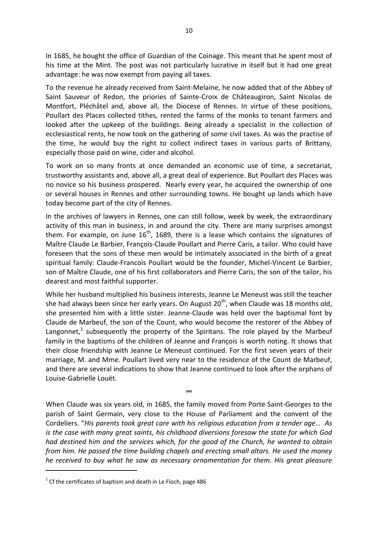In 1685, he bought the office of Guardian of the Coinage. This meant that he spent most of his time at the Mint. The post was not particularly lucrative in itself but it had one great advantage: he was now exempt from paying all taxes.

To the revenue he already received from Saint-Melaine, he now added that of the Abbey of Saint Sauveur of Redon, the priories of Sainte-Croix de Châteaugiron, Saint Nicolas de Montfort, Pléchâtel and, above all, the Diocese of Rennes. In virtue of these positions, Poullart des Places collected tithes, rented the farms of the monks to tenant farmers and looked after the upkeep of the buildings. Being already a specialist in the collection of ecclesiastical rents, he now took on the gathering of some civil taxes. As was the practise of the time, he would buy the right to collect indirect taxes in various parts of Brittany, especially those paid on wine, cider and alcohol.

To work on so many fronts at once demanded an economic use of time, a secretariat, trustworthy assistants and, above all, a great deal of experience. But Poullart des Places was no novice so his business prospered. Nearly every year, he acquired the ownership of one or several houses in Rennes and other surrounding towns. He bought up lands which have today become part of the city of Rennes.

In the archives of lawyers in Rennes, one can still follow, week by week, the extraordinary activity of this man in business, in and around the city. There are many surprises amongst them. For example, on June  $16<sup>th</sup>$ , 1689, there is a lease which contains the signatures of Maître Claude Le Barbier, François-Claude Poullart and Pierre Caris, a tailor. Who could have foreseen that the sons of these men would be intimately associated in the birth of a great spiritual family: Claude-Francois Poullart would be the founder, Michel-Vincent Le Barbier, son of Maître Claude, one of his first collaborators and Pierre Caris, the son of the tailor, his dearest and most faithful supporter.

While her husband multiplied his business interests, Jeanne Le Meneust was still the teacher she had always been since her early years. On August  $20<sup>th</sup>$ , when Claude was 18 months old, she presented him with a little sister. Jeanne-Claude was held over the baptismal font by Claude de Marbeuf, the son of the Count, who would become the restorer of the Abbey of Langonnet,<sup>1</sup> subsequently the property of the Spiritans. The role played by the Marbeuf family in the baptisms of the children of Jeanne and François is worth noting. It shows that their close friendship with Jeanne Le Meneust continued. For the first seven years of their marriage, M. and Mme. Poullart lived very near to the residence of the Count de Marbeuf, and there are several indications to show that Jeanne continued to look after the orphans of Louise-Gabrielle Louët.

When Claude was six years old, in 1685, the family moved from Porte Saint-Georges to the parish of Saint Germain, very close to the House of Parliament and the convent of the Cordeliers. "*His parents took great care with his religious education from a tender age… As is the case with many great saints, his childhood diversions foresaw the state for which God had destined him and the services which, for the good of the Church, he wanted to obtain from him. He passed the time building chapels and erecting small altars. He used the money he received to buy what he saw as necessary ornamentation for them. His great pleasure* 

∞

**.** 

 $1$  Cf the certificates of baptism and death in Le Floch, page 486